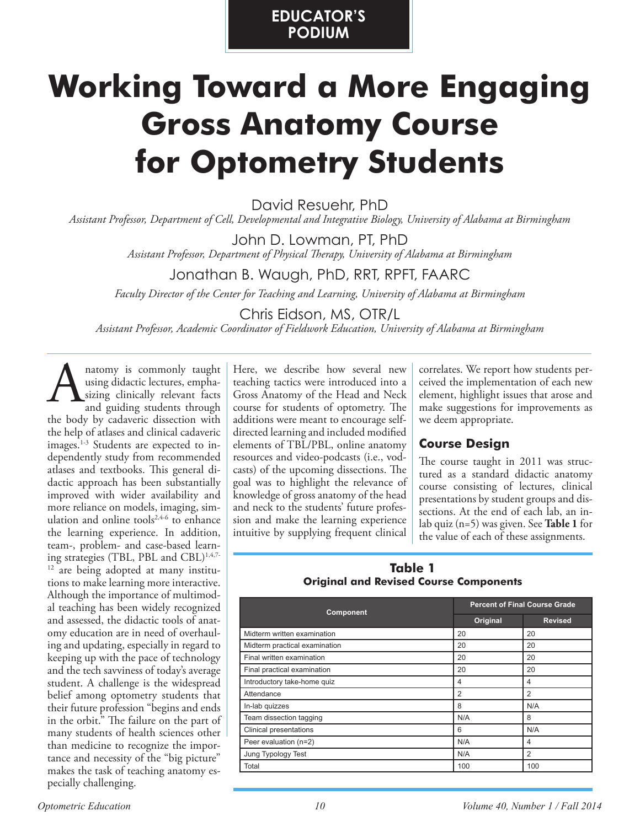# **EDUCATOR'S PODIUM**

# **Working Toward a More Engaging Gross Anatomy Course for Optometry Students**

David Resuehr, PhD

*Assistant Professor, Department of Cell, Developmental and Integrative Biology, University of Alabama at Birmingham*

John D. Lowman, PT, PhD *Assistant Professor, Department of Physical Therapy, University of Alabama at Birmingham*

# Jonathan B. Waugh, PhD, RRT, RPFT, FAARC

*Faculty Director of the Center for Teaching and Learning, University of Alabama at Birmingham*

Chris Eidson, MS, OTR/L

*Assistant Professor, Academic Coordinator of Fieldwork Education, University of Alabama at Birmingham*

natomy is commonly taught using didactic lectures, emphasizing clinically relevant facts and guiding students through the body by cadaveric dissection with the help of atlases and clinical cadaveric images.<sup>1-3</sup> Students are expected to independently study from recommended atlases and textbooks. This general didactic approach has been substantially improved with wider availability and more reliance on models, imaging, simulation and online tools $2,4-6$  to enhance the learning experience. In addition, team-, problem- and case-based learning strategies (TBL, PBL and CBL)<sup>1,4,7-</sup> <sup>12</sup> are being adopted at many institutions to make learning more interactive. Although the importance of multimodal teaching has been widely recognized and assessed, the didactic tools of anatomy education are in need of overhauling and updating, especially in regard to keeping up with the pace of technology and the tech savviness of today's average student. A challenge is the widespread belief among optometry students that their future profession "begins and ends in the orbit." The failure on the part of many students of health sciences other than medicine to recognize the importance and necessity of the "big picture" makes the task of teaching anatomy especially challenging. a hatomy is commonly taught<br>
using didactic lectures, empha-<br>
sizing clinically relevant facts<br>
and guiding students through<br>
tourse for students of optometry. The

teaching tactics were introduced into a Gross Anatomy of the Head and Neck course for students of optometry. The additions were meant to encourage selfdirected learning and included modified elements of TBL/PBL, online anatomy resources and video-podcasts (i.e., vodcasts) of the upcoming dissections. The goal was to highlight the relevance of knowledge of gross anatomy of the head and neck to the students' future profession and make the learning experience intuitive by supplying frequent clinical

correlates. We report how students perceived the implementation of each new element, highlight issues that arose and make suggestions for improvements as we deem appropriate.

# **Course Design**

The course taught in 2011 was structured as a standard didactic anatomy course consisting of lectures, clinical presentations by student groups and dissections. At the end of each lab, an inlab quiz (n=5) was given. See **Table 1** for the value of each of these assignments.

#### **Table 1 Original and Revised Course Components**

| Component                     | <b>Percent of Final Course Grade</b> |                |
|-------------------------------|--------------------------------------|----------------|
|                               | Original                             | <b>Revised</b> |
| Midterm written examination   | 20                                   | 20             |
| Midterm practical examination | 20                                   | 20             |
| Final written examination     | 20                                   | 20             |
| Final practical examination   | 20                                   | 20             |
| Introductory take-home quiz   | 4                                    | 4              |
| Attendance                    | $\overline{2}$                       | 2              |
| In-lab quizzes                | 8                                    | N/A            |
| Team dissection tagging       | N/A                                  | 8              |
| Clinical presentations        | 6                                    | N/A            |
| Peer evaluation (n=2)         | N/A                                  | 4              |
| Jung Typology Test            | N/A                                  | 2              |
| Total                         | 100                                  | 100            |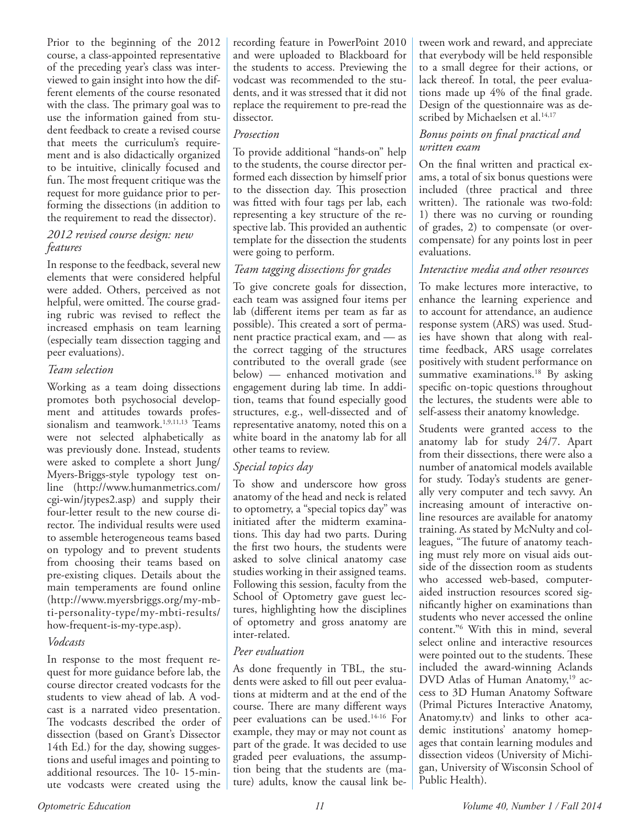Prior to the beginning of the 2012 course, a class-appointed representative of the preceding year's class was interviewed to gain insight into how the different elements of the course resonated with the class. The primary goal was to use the information gained from student feedback to create a revised course that meets the curriculum's requirement and is also didactically organized to be intuitive, clinically focused and fun. The most frequent critique was the request for more guidance prior to performing the dissections (in addition to the requirement to read the dissector).

#### *2012 revised course design: new features*

In response to the feedback, several new elements that were considered helpful were added. Others, perceived as not helpful, were omitted. The course grading rubric was revised to reflect the increased emphasis on team learning (especially team dissection tagging and peer evaluations).

#### *Team selection*

Working as a team doing dissections promotes both psychosocial development and attitudes towards professionalism and teamwork.<sup>1,9,11,13</sup> Teams were not selected alphabetically as was previously done. Instead, students were asked to complete a short Jung/ Myers-Briggs-style typology test online (http://www.humanmetrics.com/ cgi-win/jtypes2.asp) and supply their four-letter result to the new course director. The individual results were used to assemble heterogeneous teams based on typology and to prevent students from choosing their teams based on pre-existing cliques. Details about the main temperaments are found online (http://www.myersbriggs.org/my-mbti-personality-type/my-mbti-results/ how-frequent-is-my-type.asp).

#### *Vodcasts*

In response to the most frequent request for more guidance before lab, the course director created vodcasts for the students to view ahead of lab. A vodcast is a narrated video presentation. The vodcasts described the order of dissection (based on Grant's Dissector 14th Ed.) for the day, showing suggestions and useful images and pointing to additional resources. The 10- 15-minute vodcasts were created using the recording feature in PowerPoint 2010 and were uploaded to Blackboard for the students to access. Previewing the vodcast was recommended to the students, and it was stressed that it did not replace the requirement to pre-read the dissector.

#### *Prosection*

To provide additional "hands-on" help to the students, the course director performed each dissection by himself prior to the dissection day. This prosection was fitted with four tags per lab, each representing a key structure of the respective lab. This provided an authentic template for the dissection the students were going to perform.

#### *Team tagging dissections for grades*

To give concrete goals for dissection, each team was assigned four items per lab (different items per team as far as possible). This created a sort of permanent practice practical exam, and — as the correct tagging of the structures contributed to the overall grade (see below) — enhanced motivation and engagement during lab time. In addition, teams that found especially good structures, e.g., well-dissected and of representative anatomy, noted this on a white board in the anatomy lab for all other teams to review.

#### *Special topics day*

To show and underscore how gross anatomy of the head and neck is related to optometry, a "special topics day" was initiated after the midterm examinations. This day had two parts. During the first two hours, the students were asked to solve clinical anatomy case studies working in their assigned teams. Following this session, faculty from the School of Optometry gave guest lectures, highlighting how the disciplines of optometry and gross anatomy are inter-related.

#### *Peer evaluation*

As done frequently in TBL, the students were asked to fill out peer evaluations at midterm and at the end of the course. There are many different ways peer evaluations can be used.14-16 For example, they may or may not count as part of the grade. It was decided to use graded peer evaluations, the assumption being that the students are (mature) adults, know the causal link between work and reward, and appreciate that everybody will be held responsible to a small degree for their actions, or lack thereof. In total, the peer evaluations made up 4% of the final grade. Design of the questionnaire was as described by Michaelsen et al.<sup>14,17</sup>

#### *Bonus points on final practical and written exam*

On the final written and practical exams, a total of six bonus questions were included (three practical and three written). The rationale was two-fold: 1) there was no curving or rounding of grades, 2) to compensate (or overcompensate) for any points lost in peer evaluations.

#### *Interactive media and other resources*

To make lectures more interactive, to enhance the learning experience and to account for attendance, an audience response system (ARS) was used. Studies have shown that along with realtime feedback, ARS usage correlates positively with student performance on summative examinations.<sup>18</sup> By asking specific on-topic questions throughout the lectures, the students were able to self-assess their anatomy knowledge.

Students were granted access to the anatomy lab for study 24/7. Apart from their dissections, there were also a number of anatomical models available for study. Today's students are generally very computer and tech savvy. An increasing amount of interactive online resources are available for anatomy training. As stated by McNulty and colleagues, "The future of anatomy teaching must rely more on visual aids outside of the dissection room as students who accessed web-based, computeraided instruction resources scored significantly higher on examinations than students who never accessed the online content."6 With this in mind, several select online and interactive resources were pointed out to the students. These included the award-winning Aclands DVD Atlas of Human Anatomy,<sup>19</sup> access to 3D Human Anatomy Software (Primal Pictures Interactive Anatomy, Anatomy.tv) and links to other academic institutions' anatomy homepages that contain learning modules and dissection videos (University of Michigan, University of Wisconsin School of Public Health).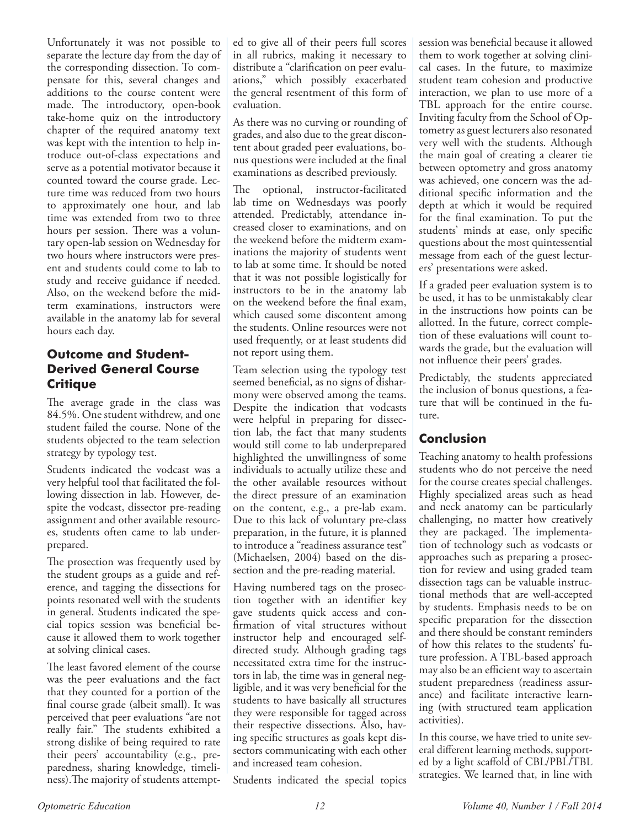Unfortunately it was not possible to separate the lecture day from the day of the corresponding dissection. To compensate for this, several changes and additions to the course content were made. The introductory, open-book take-home quiz on the introductory chapter of the required anatomy text was kept with the intention to help introduce out-of-class expectations and serve as a potential motivator because it counted toward the course grade. Lecture time was reduced from two hours to approximately one hour, and lab time was extended from two to three hours per session. There was a voluntary open-lab session on Wednesday for two hours where instructors were present and students could come to lab to study and receive guidance if needed. Also, on the weekend before the midterm examinations, instructors were available in the anatomy lab for several hours each day.

# **Outcome and Student-Derived General Course Critique**

The average grade in the class was 84.5%. One student withdrew, and one student failed the course. None of the students objected to the team selection strategy by typology test.

Students indicated the vodcast was a very helpful tool that facilitated the following dissection in lab. However, despite the vodcast, dissector pre-reading assignment and other available resources, students often came to lab underprepared.

The prosection was frequently used by the student groups as a guide and reference, and tagging the dissections for points resonated well with the students in general. Students indicated the special topics session was beneficial because it allowed them to work together at solving clinical cases.

The least favored element of the course was the peer evaluations and the fact that they counted for a portion of the final course grade (albeit small). It was perceived that peer evaluations "are not really fair." The students exhibited a strong dislike of being required to rate their peers' accountability (e.g., preparedness, sharing knowledge, timeliness).The majority of students attempted to give all of their peers full scores in all rubrics, making it necessary to distribute a "clarification on peer evaluations," which possibly exacerbated the general resentment of this form of evaluation.

As there was no curving or rounding of grades, and also due to the great discontent about graded peer evaluations, bonus questions were included at the final examinations as described previously.

The optional, instructor-facilitated lab time on Wednesdays was poorly attended. Predictably, attendance increased closer to examinations, and on the weekend before the midterm examinations the majority of students went to lab at some time. It should be noted that it was not possible logistically for instructors to be in the anatomy lab on the weekend before the final exam, which caused some discontent among the students. Online resources were not used frequently, or at least students did not report using them.

Team selection using the typology test seemed beneficial, as no signs of disharmony were observed among the teams. Despite the indication that vodcasts were helpful in preparing for dissection lab, the fact that many students would still come to lab underprepared highlighted the unwillingness of some individuals to actually utilize these and the other available resources without the direct pressure of an examination on the content, e.g., a pre-lab exam. Due to this lack of voluntary pre-class preparation, in the future, it is planned to introduce a "readiness assurance test" (Michaelsen, 2004) based on the dissection and the pre-reading material.

Having numbered tags on the prosection together with an identifier key gave students quick access and confirmation of vital structures without instructor help and encouraged selfdirected study. Although grading tags necessitated extra time for the instructors in lab, the time was in general negligible, and it was very beneficial for the students to have basically all structures they were responsible for tagged across their respective dissections. Also, having specific structures as goals kept dissectors communicating with each other and increased team cohesion.

Students indicated the special topics

session was beneficial because it allowed them to work together at solving clinical cases. In the future, to maximize student team cohesion and productive interaction, we plan to use more of a TBL approach for the entire course. Inviting faculty from the School of Optometry as guest lecturers also resonated very well with the students. Although the main goal of creating a clearer tie between optometry and gross anatomy was achieved, one concern was the additional specific information and the depth at which it would be required for the final examination. To put the students' minds at ease, only specific questions about the most quintessential message from each of the guest lecturers' presentations were asked.

If a graded peer evaluation system is to be used, it has to be unmistakably clear in the instructions how points can be allotted. In the future, correct completion of these evaluations will count towards the grade, but the evaluation will not influence their peers' grades.

Predictably, the students appreciated the inclusion of bonus questions, a feature that will be continued in the future.

# **Conclusion**

Teaching anatomy to health professions students who do not perceive the need for the course creates special challenges. Highly specialized areas such as head and neck anatomy can be particularly challenging, no matter how creatively they are packaged. The implementation of technology such as vodcasts or approaches such as preparing a prosection for review and using graded team dissection tags can be valuable instructional methods that are well-accepted by students. Emphasis needs to be on specific preparation for the dissection and there should be constant reminders of how this relates to the students' future profession. A TBL-based approach may also be an efficient way to ascertain student preparedness (readiness assurance) and facilitate interactive learning (with structured team application activities).

In this course, we have tried to unite several different learning methods, supported by a light scaffold of CBL/PBL/TBL strategies. We learned that, in line with